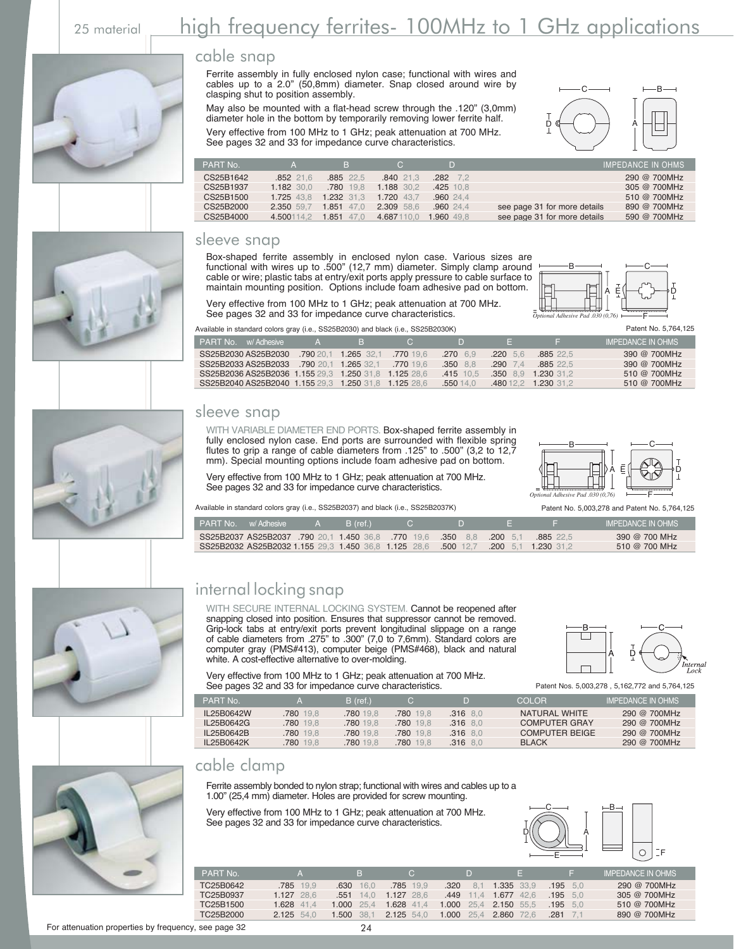# 25 material **high frequency ferrites- 100MHz to 1 GHz applications**



















#### cable snap

Ferrite assembly in fully enclosed nylon case; functional with wires and cables up to a 2.0" (50,8mm) diameter. Snap closed around wire by clasping shut to position assembly.

May also be mounted with a flat-head screw through the .120" (3,0mm) diameter hole in the bottom by temporarily removing lower ferrite half. Very effective from 100 MHz to 1 GHz; peak attenuation at 700 MHz. See pages 32 and 33 for impedance curve characteristics.



| PART No.  |            | B.            | $\mathbf{C}$ |                  |                              | <b>IMPEDANCE IN OHMS</b> |
|-----------|------------|---------------|--------------|------------------|------------------------------|--------------------------|
| CS25B1642 | .852 21.6  | 885 22.5      | .840 21.3    | $.282 \quad 7.2$ |                              | 290 @ 700MHz             |
| CS25B1937 | 1.182 30.0 | .780 19.8     | 1.188 30.2   | .425 10.8        |                              | 305 @ 700MHz             |
| CS25B1500 | 1.725 43.8 | 1.232 31.3    | 1.720 43.7   | .96024.4         |                              | 510 @ 700MHz             |
| CS25B2000 | 2.350 59.7 | $1.851$ 47.0  | 2.309 58.6   | .96024.4         | see page 31 for more details | 890 @ 700MHz             |
| CS25B4000 | 4.500114.2 | 1.851<br>47.0 | 4.687110.0   | 1.960 49.8       | see page 31 for more details | 590 @ 700MHz             |

#### sleeve snap

Box-shaped ferrite assembly in enclosed nylon case. Various sizes are functional with wires up to .500" (12,7 mm) diameter. Simply clamp around cable or wire; plastic tabs at entry/exit ports apply pressure to cable surface to maintain mounting position. Options include foam adhesive pad on bottom.

 $B$  —  $-C$ F A E\├──( )───)D

See pages 32 and 33 for impedance curve characteristics. Available in standard colors gray (i.e., SS25B2030) and black (i.e., SS25B2030K) Patent No. 5,764,125

Very effective from 100 MHz to 1 GHz; peak attenuation at 700 MHz.

| wallable in dianaara ooloro gray (i.o., OOLODLOOO) aha bidon (i.o., OOLODLOOON) |                                |                  |             |                     |                          |
|---------------------------------------------------------------------------------|--------------------------------|------------------|-------------|---------------------|--------------------------|
| <b>PART No.</b> w/Adhesive A B C                                                |                                | $\sim$ 10 $\sim$ | 45 T        | wang single         | <b>IMPEDANCE IN OHMS</b> |
| SS25B2030 AS25B2030                                                             | .790 20.1 1.265 32.1 .770 19.6 | $.270$ 6.9       | $.220\ 5.6$ | .885 22.5           | 390 @ 700MHz             |
| SS25B2033 AS25B2033 .790 20.1 1.265 32.1 .770 19.6                              |                                | $.350$ 8.8       | $.290$ 7.4  | .885 22.5           | 390 @ 700MHz             |
| SS25B2036 AS25B2036 1.155 29.3 1.250 31.8 1.125 28.6                            |                                | $.415$ 10.5      |             | 350 8.9 1.230 31.2  | 510 @ 700MHz             |
| SS25B2040 AS25B2040 1.155 29.3 1.250 31.8 1.125 28.6                            |                                | .55014.0         |             | 480 12.2 1.230 31.2 | 510 @ 700MHz             |

#### sleeve snap

WITH VARIABLE DIAMETER END PORTS. Box-shaped ferrite assembly in fully enclosed nylon case. End ports are surrounded with flexible spring flutes to grip a range of cable diameters from .125" to .500" (3,2 to 12,7 mm). Special mounting options include foam adhesive pad on bottom.

Very effective from 100 MHz to 1 GHz; peak attenuation at 700 MHz. See pages 32 and 33 for impedance curve characteristics.

 $B$  —  $-C$ F A E D *Optional Adhesive Pad .030 (0,76)*

Available in standard colors gray (i.e., SS25B2037) and black (i.e., SS25B2037K) Patent No. 5,003,278 and Patent No. 5,764,125

| <b>PART No.</b> w/ Adhesive |                                                    | B (ref.) |                                                                                    |                 |          | <b>IMPEDANCE IN OHMS</b> |
|-----------------------------|----------------------------------------------------|----------|------------------------------------------------------------------------------------|-----------------|----------|--------------------------|
|                             | SS25B2037 AS25B2037 .790 20.1 1.450 36.8 .770 19.6 |          |                                                                                    | 350 8.8 200 5.1 | .88522.5 | 390 @ 700 MHz            |
|                             |                                                    |          | SS25B2032 AS25B2032 1.155 29.3 1.450 36.8 1.125 28.6 .500 12.7 .200 5.1 1.230 31.2 |                 |          | 510 @ 700 MHz            |

## internal locking snap

WITH SECURE INTERNAL LOCKING SYSTEM. Cannot be reopened after snapping closed into position. Ensures that suppressor cannot be removed. Grip-lock tabs at entry/exit ports prevent longitudinal slippage on a range of cable diameters from .275" to .300" (7,0 to 7,6mm). Standard colors are computer gray (PMS#413), computer beige (PMS#468), black and natural white. A cost-effective alternative to over-molding.

Very effective from 100 MHz to 1 GHz; peak attenuation at 700 MHz. See pages 32 and 33 for impedance curve characteristics.

| <i>Internal</i><br>- 60 |
|-------------------------|

Patent Nos. 5,003,278 , 5,162,772 and 5,764,125

| PART No.   |           | $B$ (ref.) |          | D          | COLOR.                | <b>IMPEDANCE IN OHMS</b> |
|------------|-----------|------------|----------|------------|-----------------------|--------------------------|
| IL25B0642W | .780 19.8 | 780 19.8   | 780 19.8 | $.316$ 8.0 | NATURAL WHITE         | $290 \text{ @ } 700$ MHz |
| IL25B0642G | 780 19.8  | .780 19.8  | 780 19.8 | $.316$ 8.0 | <b>COMPUTER GRAY</b>  | 290 @ 700MHz             |
| IL25B0642B | 780 19.8  | .780 19.8  | 780 19.8 | $.316$ 8.0 | <b>COMPUTER BEIGE</b> | 290 @ 700MHz             |
| IL25B0642K | 780 19.8  | 780 19.8   | 780 19.8 | $.316$ 8.0 | <b>BLACK</b>          | 290 @ 700MHz             |

### cable clamp

Ferrite assembly bonded to nylon strap; functional with wires and cables up to a 1.00" (25,4 mm) diameter. Holes are provided for screw mounting.

Very effective from 100 MHz to 1 GHz; peak attenuation at 700 MHz. See pages 32 and 33 for impedance curve characteristics.



| PART No.  |              | 4 B.T           | $\sim$       |                       | IS.          |            | LIMPEDANCE IN OHMS |
|-----------|--------------|-----------------|--------------|-----------------------|--------------|------------|--------------------|
| TC25B0642 | .785 19.9    | .630<br>16.0    | .785 19.9    | .320<br>81            | 1.335 33.9   | $.195$ 5.0 | 290 @ 700MHz       |
| TC25B0937 | $1.127$ 28.6 | .551<br>14.0    | $1.127$ 28.6 | $.449$ 11.4           | $1.677$ 42.6 | $.195$ 5.0 | 305 @ 700MHz       |
| TC25B1500 | 1.628 41.4   | $1.000 \t 25.4$ | 1.628 41.4   | 1.000 25.4 2.150 55.5 |              | .195<br>50 | 510 @ 700MHz       |
| TC25B2000 | $2.125$ 54.0 | 1.500<br>-38.1  | $2.125$ 54.0 | 1.000 25.4            | 2.860 72.6   | 281        | 890 @ 700MHz       |